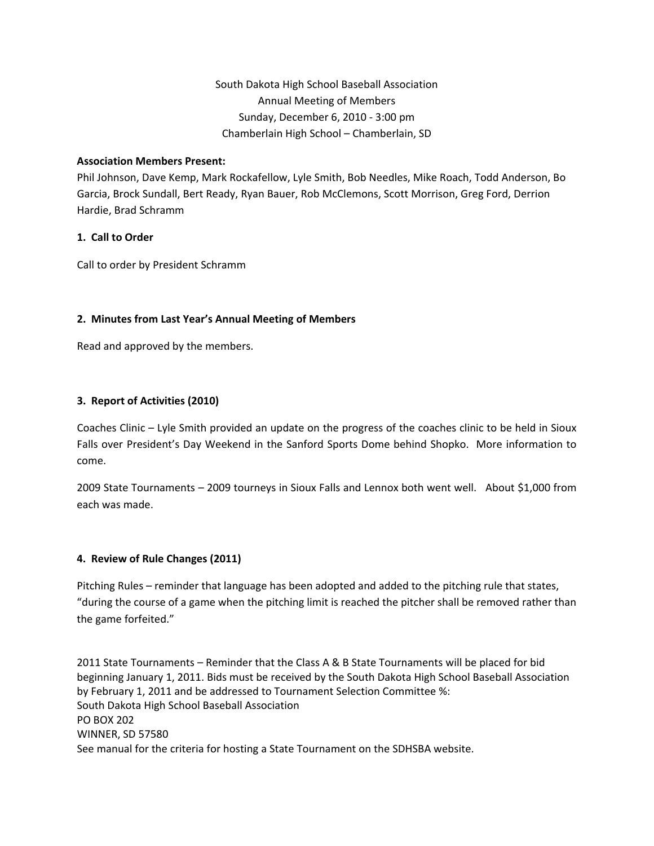### **Association Members Present:**

Phil Johnson, Dave Kemp, Mark Rockafellow, Lyle Smith, Bob Needles, Mike Roach, Todd Anderson, Bo Garcia, Brock Sundall, Bert Ready, Ryan Bauer, Rob McClemons, Scott Morrison, Greg Ford, Derrion Hardie, Brad Schramm

## **1. Call to Order**

Call to order by President Schramm

# **2. Minutes from Last Year's Annual Meeting of Members**

Read and approved by the members.

# **3. Report of Activities (2010)**

Coaches Clinic – Lyle Smith provided an update on the progress of the coaches clinic to be held in Sioux Falls over President's Day Weekend in the Sanford Sports Dome behind Shopko. More information to come.

2009 State Tournaments – 2009 tourneys in Sioux Falls and Lennox both went well. About \$1,000 from each was made.

## **4. Review of Rule Changes (2011)**

Pitching Rules – reminder that language has been adopted and added to the pitching rule that states, "during the course of a game when the pitching limit is reached the pitcher shall be removed rather than the game forfeited."

2011 State Tournaments – Reminder that the Class A & B State Tournaments will be placed for bid beginning January 1, 2011. Bids must be received by the South Dakota High School Baseball Association by February 1, 2011 and be addressed to Tournament Selection Committee %: South Dakota High School Baseball Association PO BOX 202 WINNER, SD 57580 See manual for the criteria for hosting a State Tournament on the SDHSBA website.